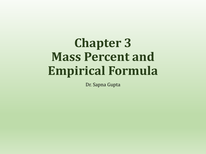# **Chapter 3 Mass Percent and Empirical Formula**

Dr. Sapna Gupta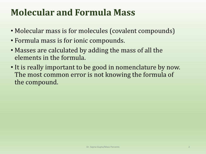# **Molecular and Formula Mass**

- Molecular mass is for molecules (covalent compounds)
- Formula mass is for ionic compounds.
- Masses are calculated by adding the mass of all the elements in the formula.
- It is really important to be good in nomenclature by now. The most common error is not knowing the formula of the compound.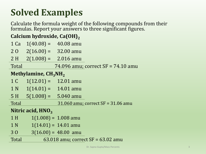# **Solved Examples**

Calculate the formula weight of the following compounds from their formulas. Report your answers to three significant figures.

**Calcium hydroxide, Ca(OH)<sup>2</sup>**

| 1 Ca                | $1(40.08) = 40.08$ amu  |                                      |  |  |
|---------------------|-------------------------|--------------------------------------|--|--|
| 20                  | $2(16.00) = 32.00$ amu  |                                      |  |  |
| 2H                  | $2(1.008) = 2.016$ amu  |                                      |  |  |
| Total               |                         | 74.096 amu; correct $SF = 74.10$ amu |  |  |
|                     | Methylamine, $CH_3NH_2$ |                                      |  |  |
| 1 C                 | $1(12.01) = 12.01$ amu  |                                      |  |  |
| 1 <sub>N</sub>      | $1(14.01) = 14.01$ amu  |                                      |  |  |
| 5H                  | $5(1.008) = 5.040$ amu  |                                      |  |  |
| Total               |                         | 31.060 amu; correct $SF = 31.06$ amu |  |  |
| Nitric acid, $HNO3$ |                         |                                      |  |  |
| 1H                  |                         | $1(1.008) = 1.008$ amu               |  |  |
| 1 <sub>N</sub>      |                         | $1(14.01) = 14.01$ amu               |  |  |
| 30                  |                         | $3(16.00) = 48.00$ amu               |  |  |
| Total               |                         | 63.018 amu; correct $SF = 63.02$ amu |  |  |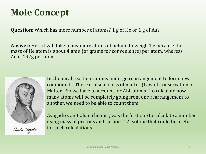# **Mole Concept**

**Question**: Which has more number of atoms? 1 g of He or 1 g of Au?

**Answer:** He – it will take many more atoms of helium to weigh 1 g because the mass of He atom is about 4 amu (or grams for convenience) per atom, whereas Au is 197g per atom.



Ometer avogatro

In chemical reactions atoms undergo rearrangement to form new compounds. There is also no loss of matter (Law of Conservation of Matter). So we have to account for ALL atoms. To calculate how many atoms will be completely going from one rearrangement to another, we need to be able to count them.

Avogadro, an Italian chemist, was the first one to calculate a number using mass of protons and carbon -12 isotope that could be useful for such calculations.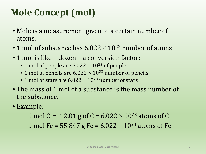# **Mole Concept (mol)**

- Mole is a measurement given to a certain number of atoms.
- 1 mol of substance has  $6.022 \times 10^{23}$  number of atoms
- 1 mol is like 1 dozen a conversion factor:
	- 1 mol of people are 6.022  $\times$  10<sup>23</sup> of people
	- 1 mol of pencils are  $6.022 \times 10^{23}$  number of pencils
	- 1 mol of stars are  $6.022 \times 10^{23}$  number of stars
- The mass of 1 mol of a substance is the mass number of the substance.
- Example:

1 mol C = 12.01 g of C =  $6.022 \times 10^{23}$  atoms of C 1 mol Fe = 55.847 g Fe =  $6.022 \times 10^{23}$  atoms of Fe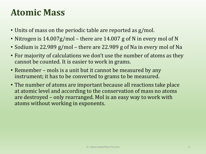### **Atomic Mass**

- Units of mass on the periodic table are reported as g/mol.
- Nitrogen is 14.007g/mol there are 14.007 g of N in every mol of N
- Sodium is 22.989 g/mol there are 22.989 g of Na in every mol of Na
- For majority of calculations we don't use the number of atoms as they cannot be counted. It is easier to work in grams.
- Remember mols is a unit but it cannot be measured by any instrument; it has to be converted to grams to be measured.
- The number of atoms are important because all reactions take place at atomic level and according to the conservation of mass no atoms are destroyed – only rearranged. Mol is an easy way to work with atoms without working in exponents.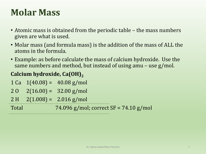### **Molar Mass**

- Atomic mass is obtained from the periodic table the mass numbers given are what is used.
- Molar mass (and formula mass) is the addition of the mass of ALL the atoms in the formula.
- Example: as before calculate the mass of calcium hydroxide. Use the same numbers and method, but instead of using amu – use g/mol.

### **Calcium hydroxide, Ca(OH)<sup>2</sup>**

- 1 Ca  $1(40.08) = 40.08$  g/mol
- $20 \quad 2(16.00) = \quad 32.00 \text{ g/mol}$
- $2 \text{ H}$   $2(1.008) = 2.016 \text{ g/mol}$

Total 74.096 g/mol; correct SF = 74.10 g/mol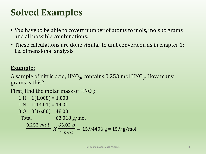# **Solved Examples**

- You have to be able to covert number of atoms to mols, mols to grams and all possible combinations.
- These calculations are done similar to unit conversion as in chapter 1; i.e. dimensional analysis.

#### **Example:**

A sample of nitric acid,  $\rm{HNO}_{3}$ , contains 0.253 mol  $\rm{HNO}_{3}$ . How many grams is this?

First, find the molar mass of  $HNO<sub>3</sub>$ :

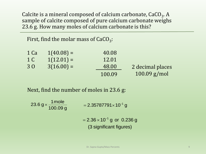Calcite is a mineral composed of calcium carbonate, CaCO<sub>3</sub>. A sample of calcite composed of pure calcium carbonate weighs 23.6 g. How many moles of calcium carbonate is this?

First, find the molar mass of  $CaCO_3$ :

| 1 Ca | $1(40.08) =$ | 40.08  |                  |
|------|--------------|--------|------------------|
| 1 C  | $1(12.01) =$ | 12.01  |                  |
| 30   | $3(16.00) =$ | 48.00  | 2 decimal places |
|      |              | 100.09 | $100.09$ g/mol   |

Next, find the number of moles in 23.6 g:

23.6 g $\times$   $\frac{1 \text{ mole}}{400.00}$  $\times \frac{11101e}{100.09g}$  $=$  2.35787791 $\times$ 10 $^{-1}$  g 1  $2.36\times 10^{-1}$  g or 0.236 g (3 significant figures) ÷,  $= 2.36 \times 10^{-7}$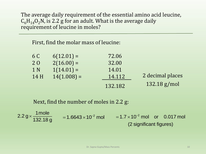The average daily requirement of the essential amino acid leucine,  $C_6H_{14}O_2N$ , is 2.2 g for an adult. What is the average daily requirement of leucine in moles?

First, find the molar mass of leucine:

| 6 C            | $6(12.01) =$  | 72.06   |                  |
|----------------|---------------|---------|------------------|
| 20             | $2(16.00) =$  | 32.00   |                  |
| 1 <sub>N</sub> | $1(14.01) =$  | 14.01   |                  |
| 14 H           | $14(1.008) =$ | 14.112  | 2 decimal places |
|                |               | 132.182 | $132.18$ g/mol   |

Next, find the number of moles in 2.2 g:

 $2.2 g \times \frac{1 \text{ mole}}{100 \text{ kg}}$ 132.18 g  $\times \frac{11100e}{132.18 \text{ g}} = 1.6643 \times 10^{-2} \text{ mol} = 1.7 \times 10^{-2}$  $1.7 \times 10^{-2}$  mol or 0.017 mol (2 significant figures) - $= 1.7 \times 10^{-2}$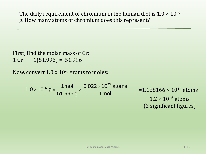The daily requirement of chromium in the human diet is  $1.0 \times 10^{-6}$ g. How many atoms of chromium does this represent?

First, find the molar mass of Cr: 1 Cr  $1(51.996) = 51.996$ 

Now, convert  $1.0 \times 10^{-6}$  grams to moles:

23  $6.022 \times 10^{23}$  atoms<br> $1.0 \times 10^{-6}$  g  $\times \frac{1 \text{ mol}}{51,996 \text{ g}} \times \frac{6.022 \times 10^{23} \text{ atoms}}{1 \text{ mol}}$  $\frac{1 \text{mol}}{51.996 \text{ g}} \times \frac{6.022 \times 10^{23}}{1 \text{mol}}$  $-6$  av 1mol  $\frac{1}{2}$  6.022  $\times$  $\times 10^{-6}$  g  $\times \frac{1 \text{ mol}}{51,996 \text{ g}} \times \frac{6.022}{1}$  $=$  1.158166  $\times$  10<sup>16</sup> atoms  $1.2 \times 10^{16}$  atoms (2 significant figures)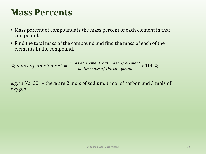### **Mass Percents**

- Mass percent of compounds is the mass percent of each element in that compound.
- Find the total mass of the compound and find the mass of each of the elements in the compound.

 $\%$  mass of an element  $=$ mols of element x at.mass of element molar mass of the compound x 100%

e.g. in  $Na<sub>2</sub>CO<sub>3</sub>$  – there are 2 mols of sodium, 1 mol of carbon and 3 mols of oxygen.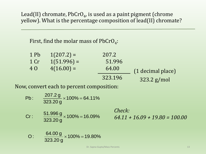Lead(II) chromate, PbCrO<sub>4</sub>, is used as a paint pigment (chrome yellow). What is the percentage composition of lead(II) chromate?

First, find the molar mass of PbCrO<sub>4</sub>:

| 1 Pb | $1(207.2) =$  | 207.2   |                   |
|------|---------------|---------|-------------------|
| 1 Cr | $1(51.996) =$ | 51.996  |                   |
| 4 O  | $4(16.00) =$  | 64.00   | (1 decimal place) |
|      |               | 323.196 | $323.2$ g/mol     |

Now, convert each to percent composition:

7, convert each to percent composition:  
\nPb: 
$$
\frac{207.2 \text{ g}}{323.20 \text{ g}} \times 100\% = 64.11\%
$$
  
\n  
\nCr:  $\frac{51.996 \text{ g}}{323.20 \text{ g}} \times 100\% = 16.09\%$   
\n  
\nO:  $\frac{64.00 \text{ g}}{323.20 \text{ g}} \times 100\% = 19.80\%$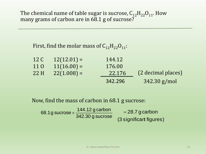The chemical name of table sugar is sucrose,  $C_{12}H_{22}O_{11}$ . How many grams of carbon are in 68.1 g of sucrose?

First, find the molar mass of  $C_{12}H_{22}O_{11}$ :

| 12 C | $12(12.01) =$ | 144.12  |                    |
|------|---------------|---------|--------------------|
| 11 0 | $11(16.00) =$ | 176.00  |                    |
| 22 H | $22(1.008) =$ | 22.176  | (2 decimal places) |
|      |               | 342.296 | $342.30$ g/mol     |

Now, find the mass of carbon in 68.1 g sucrose:

(3 significant figures)  $x$ , rind the mass of carbon in oo.1 g sucrose.<br>68.1g sucrose  $\times \frac{144.12 \text{ g carbon}}{342,30 \text{ g}} = 28.7 \text{ g carbon}$ 342.30 g sucrose  $\times$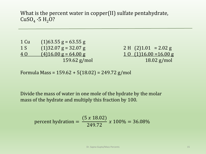What is the percent water in copper(II) sulfate pentahydrate,  $CuSO<sub>4</sub> \cdot 5 H<sub>2</sub>O?$ 

| 1 Cu | $(1)63.55$ g = 63.55 g |
|------|------------------------|
| 1 S  | $(1)32.07$ g = 32.07 g |
| 40   | $(4)16.00$ g = 64.00 g |
|      | $159.62$ g/mc          |

 $2 H (2)1.01 = 2.02 g$  $10$  (1)16.00 = 16.00 g  $18.02$  g/mol

Formula Mass = 159.62 + 5(18.02) = 249.72 g/mol

Divide the mass of water in one mole of the hydrate by the molar mass of the hydrate and multiply this fraction by 100.

percent hydration = 
$$
\frac{(5 x 18.02)}{249.72} x 100\% = 36.08\%
$$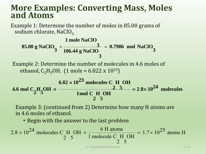### **More Examples: Converting Mass, Moles and Atoms**

Example 1: Determine the number of moles in 85.00 grams of sodium chlorate, NaClO<sub>3</sub>

ample 1: Determine the number of moles in 85.00 grams of  
odium chloride, NaClO<sub>3</sub>  
1 mole NaClO  
85.00 g NaClO<sub>3</sub> × 
$$
\frac{3}{106.44 \text{ g NaClO}} = 0.7986 \text{ mol NaClO}_3
$$

Example 2: Determine the number of molecules in 4.6 moles of ethanol, C<sub>2</sub>H<sub>5</sub>OH. (1 mole = 6.022 x 10<sup>23</sup>)

$$
3 \t106.44 \t{g NaClO}
$$
\nExample 2: Determine the number of molecules in 4.6 moles of ethanol, C<sub>2</sub>H<sub>5</sub>OH. (1 mole = 6.022 x 10<sup>23</sup>)

\n
$$
6.02 \times 10^{23} \t{molecules C H OH}
$$
\n4.6 mol C<sub>2</sub>H<sub>5</sub>OH × 
$$
\frac{2.5}{1} = 2.8 \times 10^{24} \t{molecules}
$$
\nExample 3: (continued from 2) Determine how many H atoms are

Example 3: (continued from 2) Determine how many H atoms are in 4.6 moles of ethanol.

• Begin with the answer to the last problem

$$
2.8 \times 10^{24}
$$
 molecules C H OH  $\times \frac{6 \text{ H atoms}}{1 \text{ molecule C H OH}} = 1.7 \times 10^{25}$  atoms H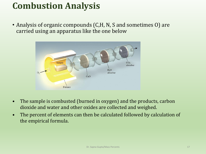# **Combustion Analysis**

• Analysis of organic compounds (C,H, N, S and sometimes O) are carried using an apparatus like the one below



- The sample is combusted (burned in oxygen) and the products, carbon dioxide and water and other oxides are collected and weighed.
- The percent of elements can then be calculated followed by calculation of the empirical formula.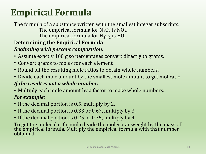# **Empirical Formula**

#### The formula of a substance written with the smallest integer subscripts. The empirical formula for  $N_2O_4$  is  $NO_2$ . The empirical formula for  $\rm H_2O_2$  is HO. **Determining the Empirical Formula** *Beginning with percent composition:*

- Assume exactly 100 g so percentages convert directly to grams.
- Convert grams to moles for each element.
- Round off the resulting mole ratios to obtain whole numbers.
- Divide each mole amount by the smallest mole amount to get mol ratio.

### *If the result is not a whole number:*

- Multiply each mole amount by a factor to make whole numbers. *For example:*
- If the decimal portion is 0.5, multiply by 2.
- If the decimal portion is 0.33 or 0.67, multiply by 3.
- If the decimal portion is 0.25 or 0.75, multiply by 4.

To get the molecular formula divide the molecular weight by the mass of the empirical formula. Multiply the empirical formula with that number obtained.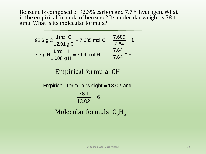Benzene is composed of 92.3% carbon and 7.7% hydrogen. What is the empirical formula of benzene? Its molecular weight is 78.1 amu. What is its molecular formula?

92.3 g C 
$$
\frac{1 \text{ mol C}}{12.01 \text{ g C}} = 7.685 \text{ mol C}
$$
  $\frac{7.685}{7.64} = 1$   
7.7 g H  $\frac{1 \text{ mol H}}{1.008 \text{ g H}} = 7.64 \text{ mol H}$   $\frac{7.64}{7.64} = 1$ 

### Empirical formula: CH

#### 6 13.02 78.1 Empirical formula w eight = 13.02 amu = Molecular formula:  $C_6H_6$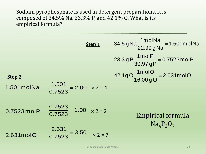Sodium pyrophosphate is used in detergent preparations. It is composed of 34.5% Na, 23.3% P, and  $42.1\%$  O. What is its empirical formula?

| Step 1                                                          | $34.5 gNa \frac{1 \text{mol} Na}{22.99 gNa} = 1.501 \text{mol} Na$ |
|-----------------------------------------------------------------|--------------------------------------------------------------------|
| $23.3 gP \frac{1 \text{mol} P}{30.97 gP} = 0.7523 \text{mol} P$ |                                                                    |
| $32.3 gP \frac{1 \text{mol} P}{30.97 gP} = 0.7523 \text{mol} P$ |                                                                    |
| $42.1 gO \frac{1 \text{mol} O}{16.00 gO} = 2.631 \text{mol} O$  |                                                                    |
| $1.501 \text{mol} Na \frac{1.501}{0.7523} = 2.00 \times 2 = 4$  |                                                                    |
| $0.7523 \text{mol} P$                                           | $\frac{0.7523}{0.7523} = 1.00 \times 2 = 2$                        |
| $2.631 \text{mol} O$                                            | $\frac{2.631}{0.7523} = 3.50 \times 2 = 7$                         |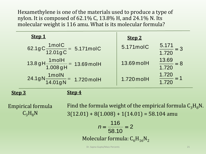Hexamethylene is one of the materials used to produce a type of nylon. It is composed of 62.1% C, 13.8% H, and 24.1% N. Its molecular weight is 116 amu. What is its molecular formula?

| Step 1                                                       | Step 2     |                                |
|--------------------------------------------------------------|------------|--------------------------------|
| 62.1gC $\frac{1 \text{ mol}}{12.01 \text{ g}}$ C = 5.171molC | 5.171molC  | $\frac{5.171}{2} = 3$<br>1.720 |
| $13.8 gH \frac{1m oH}{1.008 gH}$ = 13.69 molH                | 13.69 molH | $\frac{13.69}{1.720} = 8$      |
| $24.1gN\frac{1molN}{14.01gN}$ = 1.720 molH                   | 1.720 molH | 1.720<br>$\frac{1}{1.720}$     |
| <b>Step 3</b>                                                |            |                                |

Empirical formula  $C_3H_8N$ 

Find the formula weight of the empirical formula  $C_3H_8N$ .  $3(12.01) + 8(1.008) + 1(14.01) = 58.104$  amu

$$
n = \frac{116}{58.10} = 2
$$
  
Molecular formula:  $C_6H_{16}N_2$